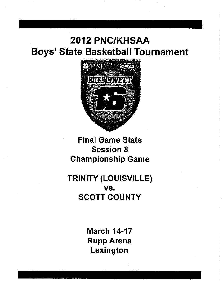# 2012 PNC/KHSAA **Boys' State Basketball Tournament**



# **Final Game Stats Session 8 Championship Game**

# **TRINITY (LOUISVILLE)** VS. **SCOTT COUNTY**

**March 14-17 Rupp Arena** Lexington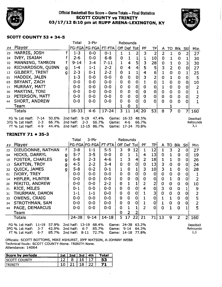

#### Official Basketball Box Score -- Game Totals -- Final Statistics **SCOTT COUNTY vs TRINITY** 03/17/12 8:10 pm at RUPP ARENA-LEXINGTON, KY

 $\pm$  10  $\pm$ 

 $\sim$  $\pm 1$ 



#### **SCOTT COUNTY 53 . 34-5**

-1

|                                                                                                                                                                                                                                        |                       |   | Total     | 3-Ptr                | <b>Rebounds</b> |                     |                         |             |           |     |                |             |             |          |     |
|----------------------------------------------------------------------------------------------------------------------------------------------------------------------------------------------------------------------------------------|-----------------------|---|-----------|----------------------|-----------------|---------------------|-------------------------|-------------|-----------|-----|----------------|-------------|-------------|----------|-----|
| ##                                                                                                                                                                                                                                     | Player                |   |           | FG-FGA FG-FGA FT-FTA |                 |                     |                         | Off Def Tot | <b>PF</b> | TP  | A.             |             | TO Blk Stll |          | Min |
| 23                                                                                                                                                                                                                                     | HARRIS, JOSH          |   | $1 - 3$   | 0-0                  | $0 - 1$         |                     |                         |             | 3         | 2   | 2              |             | 0           |          | 27  |
| 24                                                                                                                                                                                                                                     | <b>IVEY, ISAIAH</b>   |   | 2-6.      | $0 - 0$              | $6 - 8$         | 0                   |                         |             |           | 10  | $\overline{0}$ | 1           | O           |          | 30  |
| 32                                                                                                                                                                                                                                     | MANNING, TAMRON       |   | 9-14      | 3-4                  | $7 - 11$        |                     | 4                       | 5           | 3         | 28. | 0              |             | $\mathbf 0$ | 3        | 30  |
| 10                                                                                                                                                                                                                                     | RICHARDSON, QUINN     | g | $1 - 4$   | $1 - 1$              | $2 - 2$         | 0                   | 4                       | 4           |           | 5   | 3 <sub>1</sub> | 2           | 0           | $\Omega$ | 27  |
| 12                                                                                                                                                                                                                                     | <b>GILBERT, TRENT</b> | g | $2 - 3$   | $0 - 1$              | $2 - 2$         | 0                   |                         |             | 4         | 6   |                | 0           | $\mathbf 0$ |          | 25  |
| 01                                                                                                                                                                                                                                     | HADDIX, JALEN         |   | $1 - 3$   | $0 - 0$              | $0 - 0$         | $^{\circ}0^{\circ}$ | $\overline{\mathbf{0}}$ | [O          |           | 2   | 0              |             | $\mathbf 0$ |          | 5   |
| 03                                                                                                                                                                                                                                     | BRYANT, ZACH          |   | $0 - 0$   | $0-0$                | $0-0$           | 0                   | 0                       | 0           |           | 0   |                | 0           | 0           | 0        | 10  |
| 11                                                                                                                                                                                                                                     | MURRAY, MATT.         |   | $0 - 0$   | $0 - 0$              | $0 - 0$         | $\mathbf 0$         | $\bf{0}$                | 0           |           | 0   |                | $\mathbf 0$ | $\mathbf 0$ | 0        | 2   |
| 30                                                                                                                                                                                                                                     | MARTINI, TONI         |   | $0 - 0$   | $0 - 0$              | $0 - 0$         | 0                   | $\Omega$                | 01          | 0         | 0   | 0              | $\Omega$    | 0           | 0        |     |
| 33                                                                                                                                                                                                                                     | PETERSON, MATT        |   | $0 - 0$   | $0 - 0$              | $0 - 0$         | $\overline{0}$      | 0                       | 0           | 0         | 0   | $\mathbf 0$    | 0           | $\mathbf 0$ | 0        |     |
| 44                                                                                                                                                                                                                                     | SHORT, ANDREW         |   | $0 - 0$   | $0 - 0$              | $0-0$           | 0                   |                         | 0           | 0         | 0.  | $\bf{0}$       | 0           | $\mathbf 0$ | 0        |     |
|                                                                                                                                                                                                                                        | Team                  |   |           |                      |                 |                     | 0                       |             |           |     |                |             |             |          |     |
|                                                                                                                                                                                                                                        | Totals                |   | $16 - 33$ | $4 - 6$              | $17 - 24$       | 3.                  | 11                      | 14          | 20        | 53  | 8              | 7           | $\mathbf 0$ | 7        | 160 |
| 50.0%<br>2nd half:<br>$9 - 19$<br>47.4%<br>$16 - 33$<br>FG % 1st Half:<br>7-14<br>48.5%<br>Game:<br>Deadball<br>66.7%<br>2nd half:<br>$2 - 3$<br>66.7%<br>$3FG$ % 1st Half:<br>$2 - 3$<br>$4 - 6$<br>66.7%<br><b>Rebounds</b><br>Game: |                       |   |           |                      |                 |                     |                         |             |           |     |                |             |             |          |     |
| 3,1<br>$4 - 9$<br>2nd half: 13-15<br>44.4%<br>86.7%<br>Game: 17-24 70.8%<br>FT % 1st Half:                                                                                                                                             |                       |   |           |                      |                 |                     |                         |             |           |     |                |             |             |          |     |

#### **TRINITY 71 • 35-3**

|    |                                                                                                                                                                                                                                                                                                                                  |   | Total     | 3-Ptr                | Rebounds  |                |                |             |    |                 |          |             |                |              |                |
|----|----------------------------------------------------------------------------------------------------------------------------------------------------------------------------------------------------------------------------------------------------------------------------------------------------------------------------------|---|-----------|----------------------|-----------|----------------|----------------|-------------|----|-----------------|----------|-------------|----------------|--------------|----------------|
| ## | Player                                                                                                                                                                                                                                                                                                                           |   |           | FG-FGA FG-FGA FT-FTA |           |                |                | Off Def Tot | PF | TP              | A        |             | TO BIK Sti     |              | Min            |
| 22 | DIEUDONNE, NATHAN                                                                                                                                                                                                                                                                                                                | f | $3 - 8$   | $1 - 1$              | $5-5$     | $\overline{3}$ | 9              | 12          |    | 12              | 1        | 3           | 2              | 0            | 27             |
| 04 | HICKS, DARRYL                                                                                                                                                                                                                                                                                                                    | g | $5 - 7$   | $3 - 5$              | $0 - 0$   | 0              |                |             | 4  | 13              | 0        |             | $\mathbf 0$    | 0            | 19             |
| 10 | <b>FOSTER, CHARLES</b>                                                                                                                                                                                                                                                                                                           | g | $6 - 8$   | $2 - 3$              | $4 - 6$   |                | 3              | 4           | 2  | 18              |          |             | $\mathbf 0$    | 0            | 26             |
| 13 | <b>SAXTON, TROY</b>                                                                                                                                                                                                                                                                                                              | g | $4 - 5$   | $2 - 2$              | $3 - 4$   | $\mathbf{0}$   | 0              | $\mathbf 0$ | 0  | 13              | 3        | $\mathbf 0$ | 0              | 0            | 24             |
| 32 | QUICK, JAMES                                                                                                                                                                                                                                                                                                                     | g | $5 - 8$   | $0 - 2$              | $0 - 1$   |                | 0              |             | 3  | 10 <sub>l</sub> | 3        |             | $\mathbf 0$    | 0            | 28             |
| 01 | <b>IVORY, TREY</b>                                                                                                                                                                                                                                                                                                               |   | $0 - 0$   | $0 - 0$              | $0 - 0$   | $\mathbf{0}$   | $\Omega$       | $\mathbf 0$ | 0  | 0               | $\bf{0}$ | 0           | $\mathbf 0$    | 0            |                |
| 14 | <b>HEPLER, HUNTER</b>                                                                                                                                                                                                                                                                                                            |   | $0 - 0$   | $0 - 0$              | $0-0$     | 0              | 0              | 0           | 0  | 0               | 0        | 1.          | $\mathbf 0$    | 0            | 2              |
| 20 | PERITO, ANDREW                                                                                                                                                                                                                                                                                                                   |   | $0 - 0$   | $0 - 0$              | $2 - 2$   | 0              |                |             | 2  | 2               | 0        | 0           | $\mathbf 0$    | 0            | 10             |
| 21 | RICE, MILES                                                                                                                                                                                                                                                                                                                      |   | $0 - 1$   | $0 - 0$              | $0 - 0$   | $\mathbf 0$    | $\mathbf 0$    | $\mathbf 0$ | 4  | 0               | 3        | 0           | 0              |              | 9              |
| 31 | THURMAN, DAMON                                                                                                                                                                                                                                                                                                                   |   | $1 - 1$   | $1 - 1$              | $0 - 0$   | $\Omega$       | $\overline{0}$ | 0           |    |                 | 0        | 0           | 0              |              | $\overline{2}$ |
| 33 | <b>OWENS, CRAIG</b>                                                                                                                                                                                                                                                                                                              |   | $0-0$     | $0 - 0$              | $0 - 0$   | 0              | 0              | 0           |    | 0               | 1        | 1           | 0              | 0            | 5              |
| 34 | STROTHMAN, SAM                                                                                                                                                                                                                                                                                                                   |   | $0 - 0$   | $0 - 0$              | $0 - 0$   | $\Omega$       | 0              | $\mathbf 0$ |    | 0               |          | 0           | 0              |              | 2              |
| 44 | PAGE, DEMARCUS                                                                                                                                                                                                                                                                                                                   |   | $0 - 0$   | $0 - 0$              | $0 - 0$   | 0              |                |             |    | $\Omega$        |          |             | <sup>0</sup>   |              | 5              |
|    | Team                                                                                                                                                                                                                                                                                                                             |   |           |                      |           | $\Omega$       |                |             |    |                 |          |             |                |              |                |
|    | <b>Totals</b>                                                                                                                                                                                                                                                                                                                    |   | $24 - 38$ | $9 - 14$             | $14 - 18$ | 5              | 17             | 22          | 21 | 71              | 13       | 9           | $\overline{2}$ | $\mathsf{2}$ | 160            |
|    | FG % 1st Half: 11-19<br>57.9%<br>2nd half: 13-19<br>68.4%<br>Game: 24-38<br>63.2%<br>Deadball<br>$6 - 7$<br>85.7%<br>3FG % 1st Half:<br>42.9%<br>2nd half:<br>$9 - 14$<br>64.3%<br>$3 - 7$<br>Rebounds<br>Game:<br>1,1<br>85.7%<br>2nd half:<br>$8 - 11$<br>72.7%<br>$6 - 7$<br>$14 - 18$<br>$FT \% 1st Half:$<br>77.8%<br>Game: |   |           |                      |           |                |                |             |    |                 |          |             |                |              |                |

Officials: SCOTT BOTTOMS, MIKE ASHURST, JEFF WATSON, A-JOHNNY WEBB<br>Technical fouls: SCOTT COUNTY-None. TRINITY-None. Attendance: 14064

| periods<br>bv.<br>icore | 1st | $\mathbf{r}$<br>2na | 3rd | 4ŧh | `otar |
|-------------------------|-----|---------------------|-----|-----|-------|
|                         |     |                     | 16  | -   | 53    |
|                         | . . |                     | O   | ∽   | ד '   |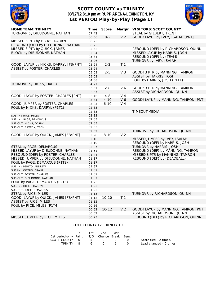

### **SCOTT COUNTY vs TRINITY 03/17/12 8:10 pm at RUPP ARENA-LEXINGTON, KY 1st PERIOD Play-by-Play (Page 1)**



| <b>HOME TEAM: TRINITY</b>             | Time           | <b>Score</b> |                | Margin VISITORS: SCOTT COUNTY        |
|---------------------------------------|----------------|--------------|----------------|--------------------------------------|
| TURNOVR by DIEUDONNE, NATHAN          | 07:42          |              |                | STEAL by GILBERT, TRENT              |
|                                       | 06:56          | $0 - 2$      | V <sub>2</sub> | GOOD! LAYUP by IVEY, ISAIAH [PNT]    |
| MISSED 3 PTR by HICKS, DARRYL         | 06:25          |              |                |                                      |
| REBOUND (OFF) by DIEUDONNE, NATHAN    | 06:25          |              |                |                                      |
| MISSED 3 PTR by QUICK, JAMES          | 05:52          |              |                | REBOUND (DEF) by RICHARDSON, QUINN   |
| BLOCK by DIEUDONNE, NATHAN            | 05:34          |              |                | MISSED LAYUP by HARRIS, JOSH         |
|                                       | 05:34          |              |                | REBOUND (OFF) by (TEAM)              |
|                                       | 05:26          |              |                | TURNOVR by IVEY, ISAIAH              |
| GOOD! LAYUP by HICKS, DARRYL [FB/PNT] | 05:24          | $2 - 2$      | T <sub>1</sub> |                                      |
| <b>ASSIST by FOSTER, CHARLES</b>      | 05:24          |              |                |                                      |
|                                       | 05:03          | $2 - 5$      | V <sub>3</sub> | GOOD! 3 PTR by MANNING, TAMRON       |
|                                       | 05:03          |              |                | ASSIST by HARRIS, JOSH               |
|                                       | 04:38          |              |                | FOUL by HARRIS, JOSH (P1T1)          |
| TURNOVR by HICKS, DARRYL              | 04:27          |              |                |                                      |
|                                       | 03:57          | $2 - 8$      | V6             | GOOD! 3 PTR by MANNING, TAMRON       |
|                                       | 03:57          |              |                | ASSIST by RICHARDSON, QUINN          |
| GOOD! LAYUP by FOSTER, CHARLES [PNT]  | 03:46          | $4 - 8$      | $V_4$          |                                      |
|                                       | 03:34          | $4 - 10$     | V 6            | GOOD! LAYUP by MANNING, TAMRON [PNT] |
| GOOD! JUMPER by FOSTER, CHARLES       | 03:05          | $6 - 10$     | V <sub>4</sub> |                                      |
| FOUL by HICKS, DARRYL (P1T1)          | 02:33          |              |                |                                      |
|                                       | 02:33          |              |                | TIMEOUT MEDIA                        |
| SUB IN: RICE, MILES                   | 02:33          |              |                |                                      |
| SUB IN: PAGE, DEMARCUS                | 02:33          |              |                |                                      |
|                                       | 02:33          |              |                |                                      |
| SUB OUT: HICKS, DARRYL                | 02:33          |              |                |                                      |
| SUB OUT: SAXTON, TROY                 |                |              |                | TURNOVR by RICHARDSON, QUINN         |
|                                       | 02:32<br>02:28 | $8 - 10$     | V <sub>2</sub> |                                      |
| GOOD! LAYUP by QUICK, JAMES [FB/PNT]  | 02:10          |              |                |                                      |
|                                       |                |              |                | MISSED JUMPER by IVEY, ISAIAH        |
|                                       | 02:10          |              |                | REBOUND (OFF) by HARRIS, JOSH        |
| STEAL by PAGE, DEMARCUS               | 02:07          |              |                | TURNOVR by HARRIS, JOSH              |
| MISSED LAYUP by DIEUDONNE, NATHAN     | 01:51          |              |                | REBOUND (DEF) by MANNING, TAMRON     |
| REBOUND (DEF) by FOSTER, CHARLES      | 01:44          |              |                | MISSED 3 PTR by MANNING, TAMRON      |
| MISSED JUMPER by DIEUDONNE, NATHAN    | 01:37          |              |                | REBOUND (DEF) by (DEADBALL)          |
| FOUL by PAGE, DEMARCUS (P1T2)         | 01:37          |              |                |                                      |
| SUB IN: PERITO, ANDREW                | 01:37          |              |                |                                      |
| SUB IN: OWENS, CRAIG                  | 01:37          |              |                |                                      |
| SUB OUT: FOSTER, CHARLES              | 01:37          |              |                |                                      |
| SUB OUT: DIEUDONNE, NATHAN            | 01:37          |              |                |                                      |
| FOUL by PAGE, DEMARCUS (P2T3)         | 01:23          |              |                |                                      |
| SUB IN: HICKS, DARRYL                 | 01:23          |              |                |                                      |
| SUB OUT: PAGE, DEMARCUS               | 01:23          |              |                |                                      |
| STEAL by RICE, MILES                  | 01:15          |              |                | TURNOVR by RICHARDSON, QUINN         |
| GOOD! LAYUP by QUICK, JAMES [FB/PNT]  | 01:12          | $10 - 10$    | T <sub>2</sub> |                                      |
| <b>ASSIST by RICE, MILES</b>          | 01:12          |              |                |                                      |
| FOUL by RICE, MILES (P1T4)            | 00:56          |              |                |                                      |
|                                       | 00:52          | $10 - 12$    | V <sub>2</sub> | GOOD! LAYUP by MANNING, TAMRON [PNT] |
|                                       | 00:52          |              |                | ASSIST by RICHARDSON, QUINN          |
| MISSED JUMPER by RICE, MILES          | 00:23          |              |                | REBOUND (DEF) by RICHARDSON, QUINN   |

#### SCOTT COUNTY 12, TRINITY 10

|                                              | $\mathsf{In}$ | Off 2nd Fast      |                   |                         |
|----------------------------------------------|---------------|-------------------|-------------------|-------------------------|
| 1st period-only Paint T/O Chance Break Bench |               |                   |                   |                         |
| SCOTT COUNTY 6 5 0                           |               |                   | $\Omega$ $\Omega$ | Score tied - 2 times.   |
|                                              |               | TRINITY 8 6 0 6 0 |                   | Lead changed - 0 times. |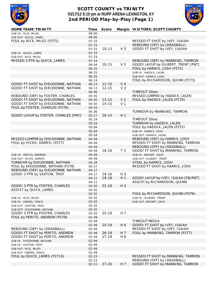

### **SCOTT COUNTY vs TRINITY 03/17/12 8:10 pm at RUPP ARENA-LEXINGTON, KY 2nd PERIOD Play-by-Play (Page 1)**



| <b>HOME TEAM: TRINITY</b>            | <b>Time</b> | Score     |                | Margin VISITORS: SCOTT COUNTY        |
|--------------------------------------|-------------|-----------|----------------|--------------------------------------|
| SUB IN: RICE, MILES                  | 08:00       |           |                |                                      |
| SUB OUT: QUICK, JAMES                | 08:00       |           |                |                                      |
| FOUL by RICE, MILES (P2T5)           | 07:33       |           |                | MISSED FT SHOT by IVEY, ISAIAH       |
|                                      | 07:33       |           |                | REBOUND (OFF) by (DEADBALL)          |
|                                      | 07:33       | $10 - 13$ | V <sub>3</sub> | GOOD! FT SHOT by IVEY, ISAIAH        |
| SUB IN: QUICK, JAMES                 | 07:33       |           |                |                                      |
| SUB OUT: RICE, MILES                 | 07:33       |           |                |                                      |
| MISSED 3 PTR by QUICK, JAMES         | 07:14       |           |                | REBOUND (DEF) by MANNING, TAMRON     |
|                                      | 06:44       | $10 - 15$ | V <sub>5</sub> | GOOD! LAYUP by GILBERT, TRENT [PNT]  |
|                                      | 06:25       |           |                | FOUL by HARRIS, JOSH (P2T2)          |
|                                      | 06:25       |           |                | SUB IN: HADDIX, JALEN                |
|                                      |             |           |                |                                      |
|                                      | 06:25       |           |                | SUB OUT: HARRIS, JOSH                |
|                                      | 06:14       |           |                | FOUL by RICHARDSON, QUINN (P1T3)     |
| GOOD! FT SHOT by DIEUDONNE, NATHAN   | 06:13       | $11 - 15$ | V <sub>4</sub> |                                      |
| GOOD! FT SHOT by DIEUDONNE, NATHAN   | 06:13       | $12 - 15$ | V <sub>3</sub> |                                      |
|                                      | 06:06       |           |                | TIMEOUT 30sec                        |
| REBOUND (DEF) by FOSTER, CHARLES     | 05:55       |           |                | MISSED JUMPER by HADDIX, JALEN       |
| GOOD! FT SHOT by DIEUDONNE, NATHAN   | 05:50       | $13 - 15$ | V <sub>2</sub> | FOUL by HADDIX, JALEN (P1T4)         |
| GOOD! FT SHOT by DIEUDONNE, NATHAN   | 05:50       | 14-15     | V <sub>1</sub> |                                      |
| FOUL by FOSTER, CHARLES (P1T6)       | 05:43       |           |                |                                      |
|                                      | 05:36       |           |                | TURNOVR by MANNING, TAMRON           |
| GOOD! LAYUP by FOSTER, CHARLES [PNT] | 05:27       | $16 - 15$ | H <sub>1</sub> |                                      |
|                                      | 05:24       |           |                | TIMEOUT 30sec                        |
|                                      | 05:18       |           |                | TURNOVR by HADDIX, JALEN             |
|                                      | 05:04       |           |                | FOUL by HADDIX, JALEN (P2T5)         |
|                                      | 05:04       |           |                | SUB IN: HARRIS, JOSH                 |
|                                      | 05:04       |           |                | SUB OUT: HADDIX, JALEN               |
| MISSED JUMPER by DIEUDONNE, NATHAN   | 04:58       |           |                | REBOUND (DEF) by HARRIS, JOSH        |
| FOUL by HICKS, DARRYL (P2T7)         | 04:49       |           |                | MISSED FT SHOT by MANNING, TAMRON    |
|                                      | 04:49       |           |                | REBOUND (OFF) by (DEADBALL)          |
|                                      | 04:49       | $16 - 16$ | T <sub>3</sub> | GOOD! FT SHOT by MANNING, TAMRON     |
| SUB IN: PERITO, ANDREW               | 04:49       |           |                | SUB IN: BRYANT, ZACH                 |
| SUB OUT: HICKS, DARRYL               | 04:49       |           |                | SUB OUT: GILBERT, TRENT              |
| TURNOVR by DIEUDONNE, NATHAN         |             |           |                | STEAL by HARRIS, JOSH                |
| FOUL by DIEUDONNE, NATHAN (P1T8)     | 04:28       |           |                |                                      |
| REBOUND (DEF) by DIEUDONNE, NATHAN   | 04:27       |           |                | MISSED FT SHOT by HARRIS, JOSH       |
|                                      | 04:27       |           |                |                                      |
| GOOD! 3 PTR by SAXTON, TROY          | 04:17       | 19-16     | $H_3$          |                                      |
|                                      | 04:11       | 19-18     | H 1            | GOOD! LAYUP by IVEY, ISAIAH [FB/PNT] |
|                                      | 04:11       |           |                | ASSIST by RICHARDSON, QUINN          |
| GOOD! 3 PTR by FOSTER, CHARLES       | 03:50       | $22 - 18$ | H 4            |                                      |
| ASSIST by QUICK, JAMES               | 03:50       |           |                |                                      |
|                                      | 03:32       |           |                | FOUL by RICHARDSON, QUINN (P2T6)     |
| SUB IN: RICE, MILES                  | 03:32       |           |                | SUB IN: GILBERT, TRENT               |
| SUB IN: OWENS, CRAIG                 | 03:32       |           |                | SUB OUT: BRYANT, ZACH                |
| SUB OUT: SAXTON, TROY                | 03:32       |           |                |                                      |
| SUB OUT: DIEUDONNE, NATHAN           | 03:32       |           |                |                                      |
| GOOD! 3 PTR by FOSTER, CHARLES       | 03:20       | $25 - 18$ | H 7            |                                      |
| FOUL by PERITO, ANDREW (P1T9)        | 02:49       |           |                |                                      |
|                                      | 02:49       |           |                | TIMEOUT MEDIA                        |
|                                      | 02:49       | $25 - 19$ | H 6            | GOOD! FT SHOT by IVEY, ISAIAH        |
| REBOUND (DEF) by (DEADBALL)          | 02:49       |           |                | MISSED FT SHOT by IVEY, ISAIAH       |
| GOOD! FT SHOT by PERITO, ANDREW      | 02:49       | $26 - 19$ | H 7            | FOUL by MANNING, TAMRON (P1T7)       |
| GOOD! FT SHOT by PERITO, ANDREW      | 02:49       | $27 - 19$ | H 8            |                                      |
| SUB IN: DIEUDONNE, NATHAN            | 02:49       |           |                |                                      |
| SUB IN: SAXTON, TROY                 | 02:49       |           |                |                                      |
| SUB OUT: RICE, MILES                 | 02:49       |           |                |                                      |
| SUB OUT: OWENS, CRAIG                | 02:49       |           |                |                                      |
| FOUL by QUICK, JAMES (P1T10)         | 02:23       |           |                | MISSED FT SHOT by MANNING, TAMRON    |
|                                      | 02:23       |           |                | REBOUND (OFF) by (DEADBALL)          |
|                                      | 02:23       | $27 - 20$ | H 7            | GOOD! FT SHOT by MANNING, TAMRON     |
|                                      |             |           |                |                                      |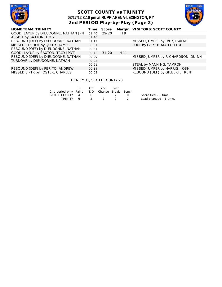

### **SCOTT COUNTY vs TRINITY 03/17/12 8:10 pm at RUPP ARENA-LEXINGTON, KY 2nd PERIOD Play-by-Play (Page 2)**



| <b>HOME TEAM: TRINITY</b>            | Time  | <b>Score</b> |      | Margin VISITORS: SCOTT COUNTY      |
|--------------------------------------|-------|--------------|------|------------------------------------|
| GOOD! LAYUP by DIEUDONNE, NATHAN [PN | 01:40 | 29-20        | H 9  |                                    |
| ASSIST by SAXTON, TROY               | 01:40 |              |      |                                    |
| REBOUND (DEF) by DIEUDONNE, NATHAN   | 01:17 |              |      | MISSED JUMPER by IVEY, ISAIAH      |
| MISSED FT SHOT by QUICK, JAMES       | 00:51 |              |      | FOUL by IVEY, ISAIAH (P1T8)        |
| REBOUND (OFF) by DIEUDONNE, NATHAN   | 00:51 |              |      |                                    |
| GOOD! LAYUP by SAXTON, TROY [PNT]    | 00:42 | $31 - 20$    | H 11 |                                    |
| REBOUND (DEF) by DIEUDONNE, NATHAN   | 00:29 |              |      | MISSED JUMPER by RICHARDSON, QUINN |
| TURNOVR by DIEUDONNE, NATHAN         | 00:22 |              |      |                                    |
|                                      | 00:21 |              |      | STEAL by MANNING, TAMRON           |
| REBOUND (DEF) by PERITO, ANDREW      | 00:14 |              |      | MISSED JUMPER by HARRIS, JOSH      |
| MISSED 3 PTR by FOSTER, CHARLES      | 00:03 |              |      | REBOUND (DEF) by GILBERT, TRENT    |

#### TRINITY 31, SCOTT COUNTY 20

|                                              | $\mathsf{In}$ | Off | 2nd | – Fast |                        |
|----------------------------------------------|---------------|-----|-----|--------|------------------------|
| 2nd period-only Paint T/O Chance Break Bench |               |     |     |        |                        |
| SCOTT COUNTY 4 0 0 2 0                       |               |     |     |        | Score tied - 1 time.   |
| TRINITY 6 2 2 0 2                            |               |     |     |        | Lead changed - 1 time. |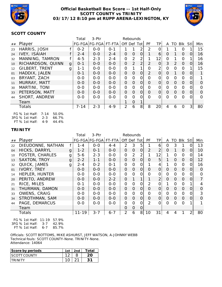

#### **Official Basketball Box Score -- 1st Half-Only SCOTT COUNTY vs TRINITY 03/17/12 8:10 pm at RUPP ARENA-LEXINGTON, KY**



#### **SCOTT COUNTY**

|                 |                                                                                                               |   | Total    | 3-Ptr                 | Rebounds |                |                |                |           |                 |          |               |          |                |                |
|-----------------|---------------------------------------------------------------------------------------------------------------|---|----------|-----------------------|----------|----------------|----------------|----------------|-----------|-----------------|----------|---------------|----------|----------------|----------------|
| ##              | Player                                                                                                        |   |          | FG-FGA FG-FGA  FT-FTA |          | Off Def Tot    |                |                | <b>PF</b> | <b>TP</b>       | A        | TO            | Blk      | Stl            | Min            |
| 23              | HARRIS, JOSH                                                                                                  |   | $0 - 2$  | $0 - 0$               | $O - 1$  |                |                |                | 2         |                 |          |               | O        |                | 15             |
| 24              | <b>IVEY, ISAIAH</b>                                                                                           |   | $2 - 4$  | $0 - 0$               | $2 - 4$  | $\Omega$       | $\overline{0}$ | 0              |           | 6               | $\Omega$ |               | $\Omega$ | $\overline{O}$ | 16             |
| 32              | MANNING, TAMRON                                                                                               |   | $4 - 5$  | $2 - 3$               | $2 - 4$  | 0              | 2              | 2              |           | 12              | ∩        |               | $\Omega$ |                | 16             |
| 10 <sup>°</sup> | RICHARDSON, QUINN                                                                                             | g | $0 - 1$  | $0-0$                 | $0-0$    | $\overline{0}$ | 2              | $\overline{2}$ | 2         | $\Omega$        | 3        | $\mathcal{P}$ | $\Omega$ | $\Omega$       | 16             |
| 12              | <b>GILBERT, TRENT</b>                                                                                         | g | $1 - 1$  | $0-0$                 | $0-0$    | $\overline{0}$ | 1              |                | $\Omega$  | $\overline{2}$  | ∩        | $\Omega$      | $\Omega$ |                | 15             |
| 01              | HADDIX, JALEN                                                                                                 |   | $0 - 1$  | $0 - 0$               | $0-0$    | $\Omega$       | $\overline{0}$ | $\Omega$       | 2         | $\Omega$        | $\Omega$ |               | $\Omega$ | $\Omega$       | 1              |
| 03              | BRYANT, ZACH                                                                                                  |   | $0 - 0$  | $0-0$                 | $0-0$    | $\Omega$       | $\overline{0}$ | $\Omega$       | $\Omega$  | 0               | $\Omega$ | $\Omega$      | $\Omega$ | 0              | $\mathbf 1$    |
| 11              | MURRAY, MATT                                                                                                  |   | $0 - 0$  | $0 - 0$               | $0 - 0$  | $\Omega$       | $\Omega$       | $\Omega$       | $\Omega$  | $\Omega$        | $\Omega$ | $\Omega$      | $\Omega$ | $\Omega$       | $\Omega$       |
| 30              | MARTINI, TONI                                                                                                 |   | $0-0$    | $0-0$                 | $0-0$    | $\Omega$       | $\Omega$       | $\Omega$       | $\Omega$  | $\Omega$        | O        | $\Omega$      | $\Omega$ | 0              | $\Omega$       |
| 33              | PETERSON, MATT                                                                                                |   | $0 - 0$  | $0 - 0$               | $0 - 0$  | $\Omega$       | $\Omega$       | $\Omega$       | $\Omega$  | 0               | $\Omega$ | $\Omega$      | $\Omega$ | $\overline{0}$ | $\Omega$       |
| 44              | SHORT, ANDREW                                                                                                 |   | $0-0$    | $0-0$                 | $0-0$    | $\Omega$       | $\Omega$       | 0              | $\Omega$  | $\Omega$        | ∩        | $\Omega$      | $\Omega$ | 0              | $\overline{O}$ |
|                 | Team                                                                                                          |   |          |                       |          |                | $\Omega$       |                |           |                 |          |               |          |                |                |
|                 | <b>Totals</b>                                                                                                 |   | $7 - 14$ | $2 - 3$               | $4 - 9$  | 2              | 6              | 8              | 8         | 20 <sub>l</sub> | 4        | 6             | $\Omega$ | $\mathbf{3}$   | 80             |
|                 | $\Gamma$ $\cap$ $\Gamma$ $\cap$ $\Gamma$ $\Gamma$ $\Gamma$ $\Gamma$ $\Gamma$ $\Gamma$<br>$\sim$ $\sim$ $\sim$ |   |          |                       |          |                |                |                |           |                 |          |               |          |                |                |

FG % 1st Half: 7-14 50.0% 3FG % 1st Half: 2-3 66.7% FT % 1st Half: 4-9 44.4%

#### **TRINITY**

|                |                        |   | Total     | $3-Ptr$               | Rebounds |                |                |                |          |                |          |                |                |                |          |
|----------------|------------------------|---|-----------|-----------------------|----------|----------------|----------------|----------------|----------|----------------|----------|----------------|----------------|----------------|----------|
| ##             | Player                 |   |           | FG-FGA FG-FGA  FT-FTA |          |                |                | Off Def Tot    | PF       | TP             | A        |                | TO BIK         | -StII          | Min      |
| 22             | DIEUDONNE, NATHAN      |   | 1-4       | $0-0$                 | $4 - 4$  | $\overline{2}$ | 3              | 5              | 1        | 6              | $\Omega$ | 3              | 1              | 0              | 13       |
| O <sub>4</sub> | HICKS, DARRYL          | g | $1 - 2$   | $0 - 1$               | $O-O$    | $\Omega$       | $\overline{O}$ | $\overline{O}$ | 2        | $\overline{2}$ | $\Omega$ | 1              | $\overline{0}$ | $\Omega$       | 10       |
| 10             | <b>FOSTER, CHARLES</b> | g | $5 - 6$   | $2 - 3$               | $O-O$    | 0              | 2              | $\overline{2}$ |          | 12             |          | $\Omega$       | $\Omega$       | $\Omega$       | 14       |
| 13             | <b>SAXTON, TROY</b>    | g | $2 - 2$   | $1 - 1$               | $0 - 0$  | $\Omega$       | $\Omega$       | $\overline{O}$ | $\Omega$ | 5              |          | $\Omega$       | $\Omega$       | $\overline{O}$ | 12       |
| 32             | QUICK, JAMES           | g | $2 - 4$   | $0 - 2$               | $0 - 1$  | 0              | $\mathbf 0$    | 0              |          | 4              |          | $\overline{0}$ | 0              | 0              | 16       |
| 01             | IVORY, TREY            |   | $O - O$   | $0 - 0$               | $0-0$    | $\Omega$       | $\Omega$       | $\overline{O}$ | $\Omega$ | $\overline{O}$ | $\Omega$ | $\Omega$       | $\overline{0}$ | $\Omega$       | $\Omega$ |
| 14             | <b>HEPLER, HUNTER</b>  |   | $0 - 0$   | $0-0$                 | $0 - 0$  | 0              | 0              | $\Omega$       | $\Omega$ | 0              | $\Omega$ | $\Omega$       | $\Omega$       | 0              | 0        |
| 20             | PERITO, ANDREW         |   | $0 - 0$   | $0-0$                 | $2 - 2$  | $\Omega$       | 1              | 1              | 1        | $\overline{2}$ | $\Omega$ | $\Omega$       | $\Omega$       | $\Omega$       | 7        |
| 21             | RICE, MILES            |   | $0 - 1$   | $0-0$                 | $0-0$    | 0              | $\Omega$       | $\overline{O}$ | 2        | 0              |          | $\Omega$       | $\Omega$       | 1              | 4        |
| 31             | THURMAN, DAMON         |   | $0 - 0$   | $0-0$                 | $0-0$    | $\Omega$       | $\Omega$       | $\Omega$       | $\Omega$ | $\overline{O}$ | $\Omega$ | $\Omega$       | $\Omega$       | $\Omega$       | $\Omega$ |
| 33             | <b>OWENS, CRAIG</b>    |   | $0 - 0$   | $0-0$                 | $0-0$    | 0              | 0              | 0              | 0        | 0              | $\Omega$ | $\Omega$       | $\Omega$       | 0              | 3        |
| 34             | STROTHMAN, SAM         |   | $O - O$   | $0 - 0$               | $0 - 0$  | $\Omega$       | $\Omega$       | $\overline{O}$ | $\Omega$ | $\overline{O}$ | $\Omega$ | $\Omega$       | $\overline{0}$ | $\Omega$       | $\Omega$ |
| 44             | PAGE, DEMARCUS         |   | $0 - 0$   | $0-0$                 | $0-0$    | 0              | $\Omega$       | $\Omega$       | 2        | $\Omega$       | $\Omega$ | $\Omega$       | $\Omega$       |                |          |
|                | Team                   |   |           |                       |          | $\Omega$       | 0              | 0              |          |                |          |                |                |                |          |
|                | Totals                 |   | $11 - 19$ | $3 - 7$               | $6 - 7$  | $\overline{2}$ | 6              | 8 <sup>1</sup> | 10       | 31             | 4        | 4              |                | $\overline{2}$ | 80       |

FG % 1st Half: 11-19 57.9% 3FG % 1st Half: 3-7 42.9% FT % 1st Half: 6-7 85.7%

Officials: SCOTT BOTTOMS, MIKE ASHURST, JEFF WATSON, A-JOHNNY WEBB Technical fouls: SCOTT COUNTY-None. TRINITY-None. Attendance: 14064

| Score by periods     | 1st | 2nd | Total |
|----------------------|-----|-----|-------|
| <b>ISCOTT COUNTY</b> |     |     |       |
|                      |     |     |       |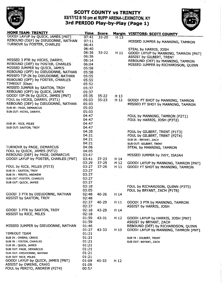

# **SCOTT COUNTY VS TRINITY** 03/17/12 8:10 pm at RUPP ARENA-LEXINGTON, KY<br>3rd PERIOD Play-by-Play (Page 1)



| <b>MUME TEAM: TRINITY</b>            | Time  | <b>Score</b> |                 | <b>Margin VISITORS: SCOTT COUNTY</b> |
|--------------------------------------|-------|--------------|-----------------|--------------------------------------|
| GOOD! LAYUP by QUICK, JAMES [PNT]    | 07.41 | $33 - 20$    | H 13            |                                      |
| REBOUND (DEF) by DIEUDONNE, NATHAN   | 07:11 |              |                 | MISSED JUMPER by MANNING, TAMRON     |
| TURNOVR by FOSTER, CHARLES           | 06:41 |              |                 |                                      |
|                                      | 06:40 |              |                 | STEAL by HARRIS, JOSH                |
|                                      | 06:36 | $33 - 22$    | H 11            |                                      |
|                                      | 06.36 |              |                 | GOOD! LAYUP by MANNING, TAMRON [PNT] |
|                                      |       |              |                 | ASSIST by GILBERT, TRENT             |
| MISSED 3 PTR by HICKS, DARRYL        | 06.14 |              |                 | REBOUND (DEF) by MANNING, TAMRON     |
| REBOUND (DEF) by FOSTER, CHARLES     | 06:04 |              |                 | MISSED JUMPER by RICHARDSON, QUINN   |
| MISSED JUMPER by QUICK, JAMES        | 05:58 |              |                 |                                      |
| REBOUND (OFF) by DIEUDONNE, NATHAN   | 05:58 |              |                 |                                      |
| MISSED TIP-IN by DIEUDONNE, NATHAN   | 05:55 |              |                 |                                      |
| REBOUND (OFF) by FOSTER, CHARLES     | 05.55 |              |                 |                                      |
| TIMEOUT 30sec                        | 05:52 |              |                 |                                      |
| MISSED JUMPER by SAXTON, TROY        | 05:37 |              |                 |                                      |
| REBOUND (OFF) by QUICK, JAMES        | 05:37 |              |                 |                                      |
|                                      |       |              |                 |                                      |
| GOOD! TIP-IN by QUICK, JAMES [PNT]   | 05.35 | $35 - 22$    | H <sub>13</sub> |                                      |
| FOUL by HICKS, DARRYL (P3T1)         | 05:03 | $35 - 23$    | H <sub>12</sub> | GOOD! FT SHOT by MANNING, TAMRON     |
| REBOUND (DEF) by DIEUDONNE, NATHAN   | 05:03 |              |                 | MISSED FT SHOT by MANNING, TAMRON    |
| SUB IN : PAGE, DEMARCUS              | 05:03 |              |                 |                                      |
| SUB OUT: HICKS, DARRYL               | 05:03 |              |                 |                                      |
|                                      | 04:47 |              |                 | FOUL by MANNING, TAMRON (P2T1)       |
|                                      | 04:47 |              |                 | FOUL by HARRIS, JOSH (P3T2)          |
| SUB IN: RICE, MILES                  | 04:47 |              |                 |                                      |
| SUB OUT: SAXTON, TROY                | 04:47 |              |                 |                                      |
|                                      | 04:35 |              |                 |                                      |
|                                      |       |              |                 | FOUL by GILBERT, TRENT (P1T3)        |
|                                      | 04.21 |              |                 | FOUL by GILBERT, TRENT (P2T4)        |
|                                      | 04:21 |              |                 | SUB IN: BRYANT, ZACH                 |
|                                      | 04:21 |              |                 | SUB OUT: GILBERT, TRENT              |
| TURNOVR by PAGE, DEMARCUS            | 04:06 |              |                 | STEAL by MANNING, TAMRON             |
| FOUL by QUICK, JAMES (P2T2)          | 04:05 |              |                 |                                      |
| REBOUND (DEF) by PAGE, DEMARCUS      | 03:47 |              |                 | MISSED JUMPER by IVEY, ISAIAH        |
| GOOD! LAYUP by FOSTER, CHARLES [PNT] | 03.41 | $37 - 23$    | H 14            |                                      |
|                                      | 03:29 | $37 - 25$    | H <sub>12</sub> | GOOD! LAYUP by MANNING, TAMRON [PNT] |
| FOUL by RICE, MILES (P3T3)           | 03:27 | $37 - 26$    | H 11            | GOOD! FT SHOT by MANNING, TAMRON     |
| SUB IN: SAXTON, TROY                 | 03:27 |              |                 |                                      |
| SUB IN: PERITO, ANDREW               | 03:27 |              |                 |                                      |
| SUB OUT: FOSTER, CHARLES             | 03:27 |              |                 |                                      |
|                                      | 03:27 |              |                 |                                      |
| SUB OUT: QUICK, JAMES                |       |              |                 |                                      |
|                                      | 03:18 |              |                 | FOUL by RICHARDSON, QUINN (P3T5)     |
|                                      | 03:05 |              |                 | FOUL by BRYANT, ZACH (P1T6)          |
| GOOD! 3 PTR by DIEUDONNE, NATHAN     | 02:48 | $40 - 26$    | H 14            |                                      |
| ASSIST by SAXTON, TROY               | 02:48 |              |                 |                                      |
|                                      | 02:37 | 40-29        | H 11            | GOOD! 3 PTR by MANNING, TAMRON       |
|                                      | 02:37 |              |                 | <b>ASSIST by HARRIS, JOSH</b>        |
| GOOD! 3 PTR by SAXTON, TROY          | 02:18 | 43-29        | H 14            |                                      |
| <b>ASSIST by RICE, MILES</b>         | 02:18 |              |                 |                                      |
|                                      | 01:59 | $43 - 31$    | H <sub>12</sub> | GOOD! LAYUP by HARRIS, JOSH [PNT]    |
|                                      | 01:59 |              |                 |                                      |
|                                      |       |              |                 | ASSIST by BRYANT, ZACH               |
| MISSED JUMPER by DIEUDONNE, NATHAN   | 01:46 |              |                 | REBOUND (DEF) by RICHARDSON, QUINN   |
|                                      | 01:27 | 43-33        | H 10            | GOOD! LAYUP by MANNING, TAMRON [PNT] |
| TIMEOUT TEAM                         | 01:21 |              |                 |                                      |
| SUB IN : OWENS, CRAIG                | 01:21 |              |                 | SUB IN: GILBERT, TRENT               |
| SUB IN: FOSTER, CHARLES              | 01:21 |              |                 | SUB OUT: BRYANT, ZACH                |
| SUB IN : QUICK, JAMES                | 01:21 |              |                 |                                      |
| SUB OUT: PAGE, DEMARCUS              | 01:21 |              |                 |                                      |
| SUB OUT: DIEUDONNE, NATHAN           | 01:21 |              |                 |                                      |
| SUB OUT: RICE, MILES                 | 01:21 |              |                 |                                      |
| GOOD! LAYUP by QUICK, JAMES [PNT]    | 01:09 | 45-33        | $H_12$          |                                      |
| ASSIST by OWENS, CRAIG               | 01:09 |              |                 |                                      |
| FOUL by PERITO, ANDREW (P2T4)        | 00:57 |              |                 |                                      |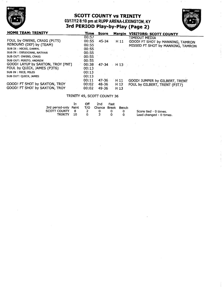

# **SCOTT COUNTY VS TRINITY** 03/17/12 8:10 pm at RUPP ARENA-LEXINGTON, KY<br>3rd PERIOD Play-by-Play (Page 2)



| <b>HOME TEAM: TRINITY</b>                                      | Time            | Score             | Margin                  | <b>VISITORS: SCOTT COUNTY</b>                     |
|----------------------------------------------------------------|-----------------|-------------------|-------------------------|---------------------------------------------------|
| FOUL by OWENS, CRAIG (P1T5)<br>REBOUND (DEF) by (TEAM)         | 00:57<br>00:55  | 45-34             | H 11                    | TIMEOUT MEDIA<br>GOOD! FT SHOT by MANNING, TAMRON |
| SUB IN : HICKS, DARRYL                                         | 00:55<br>00:55  |                   |                         | MISSED FT SHOT by MANNING, TAMRON                 |
| SUB IN: DIEUDONNE, NATHAN<br>SUB OUT: OWENS, CRAIG             | 00:55<br>.00:55 |                   |                         |                                                   |
| SUB OUT: PERITO, ANDREW<br>GOOD! LAYUP by SAXTON, TROY [PNT]   | 00:55<br>00:38  | $47 - 34$         | H13                     |                                                   |
| FOUL by QUICK, JAMES (P3T6)<br>SUB IN ; RICE, MILES            | 00:13<br>00:13  |                   |                         |                                                   |
| SUB OUT: QUICK, JAMES                                          | 00:13<br>00:11  | $47 - 36$         | H 11                    | GOOD! JUMPER by GILBERT, TRENT                    |
| GOOD! FT SHOT by SAXTON, TROY<br>GOOD! FT SHOT by SAXTON, TROY | 00:02<br>00:02  | 48-36<br>$-49-36$ | H <sub>12</sub><br>H 13 | FOUL by GILBERT, TRENT (P3T7)                     |
|                                                                |                 |                   |                         |                                                   |

#### TRINITY 49, SCOTT COUNTY 36

|                       | In.  | Off | 2nd.                   | Fast |                         |
|-----------------------|------|-----|------------------------|------|-------------------------|
| 3rd period-only Paint |      |     | T/O Chance Break Bench |      |                         |
| SCOTT COUNTY 8        |      |     |                        |      | Score tied - 0 times.   |
| TRINITY               | - 10 |     |                        |      | Lead changed - 0 times. |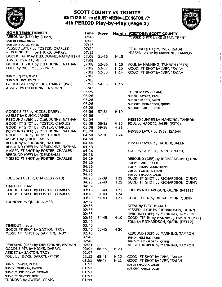

### **SCOTT COUNTY VS TRINITY** 03/17/12 8:10 pm at RUPP ARENA-LEXINGTON, KY<br>4th PERIOD Play-by-Play (Page 1)



| MUME IEAM: IKINITY                   | Time  | Score     |                 | <b>Margin VISITORS: SCOTT COUNTY</b>  |
|--------------------------------------|-------|-----------|-----------------|---------------------------------------|
| <b>REBOUND (DEF) by (TEAM)</b>       | 07:48 |           |                 | MISSED 3 PTR by GILBERT, TRENT        |
| SUB IN : RICE, MILES                 | 07:46 |           |                 |                                       |
| SUB OUT: QUICK, JAMES                | 07:46 |           |                 |                                       |
| MISSED LAYUP by FOSTER, CHARLES      | 07:24 |           |                 | REBOUND (DEF) by IVEY, ISAIAH         |
| REBOUND (DEF) by HICKS, DARRYL       | 07:15 |           |                 |                                       |
|                                      |       |           |                 | MISSED LAYUP by MANNING, TAMRON       |
| GOOD! LAYUP by DIEUDONNE, NATHAN [PN | 07.08 | 51-36     | H <sub>15</sub> |                                       |
| <b>ASSIST by RICE, MILES</b>         | 07:08 |           |                 |                                       |
| GOOD! FT SHOT by DIEUDONNE, NATHAN   | 07:08 | 52-36     | H 16            | FOUL by MANNING, TAMRON (P3T8)        |
| FOUL by RICE, MILES (P4T7)           | 07:02 | 52-37     | H 15            | GOOD! FT SHOT by IVEY, ISAIAH         |
|                                      | 07:02 | $52 - 38$ | $H_1$ 14        | GOOD! FT SHOT by IVEY, ISAIAH         |
|                                      |       |           |                 |                                       |
| SUB IN : QUICK, JAMES                | 07:02 |           |                 |                                       |
| SUB OUT: RICE, MILES                 | 07:02 |           |                 |                                       |
| GOOD! LAYUP by HICKS, DARRYL [PNT]   | 06:51 | 54-38     | H 16            |                                       |
| ASSIST by DIEUDONNE, NATHAN          | 06:42 |           |                 |                                       |
|                                      | 06:29 |           |                 | TURNOVR by (TEAM)                     |
|                                      | 06:28 |           |                 |                                       |
|                                      |       |           |                 | SUB IN: BRYANT, ZACH                  |
|                                      | 06.28 |           |                 | SUB IN: HADDIX, JALEN                 |
|                                      | 06.28 |           |                 | SUB OUT: RICHARDSON, QUINN            |
|                                      | 06:28 |           |                 | SUB OUT: HARRIS, JOSH                 |
| GOOD! 3 PTR by HICKS, DARRYL         | 06:06 | 57-38     | H 19            |                                       |
| ASSIST by QUICK, JAMES               | 06:06 |           |                 |                                       |
| REBOUND (DEF) by DIEUDONNE, NATHAN   | 05.54 |           |                 | MISSED JUMPER by MANNING, TAMRON      |
|                                      |       |           |                 |                                       |
| GOOD! FT SHOT by FOSTER, CHARLES     | 05:38 | 58-38     | H 20            | FOUL by HADDIX, JALEN (P3T9)          |
| GOOD! FT SHOT by FOSTER, CHARLES     | 05:38 | 59-38     | H 21            |                                       |
| REBOUND (DEF) by DIEUDONNE, NATHAN   | 05:28 |           |                 | MISSED LAYUP by IVEY, ISAIAH          |
| GOOD! 3 PTR by HICKS, DARRYL         | 04:58 | $62 - 38$ | H <sub>24</sub> |                                       |
| ASSIST by QUICK, JAMES               | 04:58 |           |                 |                                       |
| BLOCK by DIEUDONNE, NATHAN           | 04:44 |           |                 |                                       |
|                                      |       |           |                 | MISSED LAYUP by HADDIX, JALEN         |
| REBOUND (DEF) by DIEUDONNE, NATHAN   | 04:43 |           |                 |                                       |
| MISSED FT SHOT by FOSTER, CHARLES    | 04:26 |           |                 | FOUL by GILBERT, TRENT (P4T10)        |
| REBOUND (OFF) by (DEADBALL)          | 04:26 |           |                 |                                       |
| MISSED FT SHOT by FOSTER, CHARLES    | 04:26 |           |                 | REBOUND (DEF) by RICHARDSON, QUINN    |
|                                      | 04:26 |           |                 | SUB IN : HARRIS, JOSH                 |
|                                      | 04:26 |           |                 | SUB IN: RICHARDSON, QUINN             |
|                                      |       |           |                 |                                       |
|                                      | 04:26 |           |                 | SUB OUT: GILBERT, TRENT               |
|                                      | 04:26 |           |                 | SUB OUT: HADDIX, JALEN                |
| FOUL by FOSTER, CHARLES (P2T8)       | 04:25 | $62 - 39$ | H 23            | GOOD! FT SHOT by RICHARDSON, QUINN    |
|                                      | 04:25 | $62 - 40$ | H 22            | GOOD! FT SHOT by RICHARDSON, QUINN    |
| TIMEOUT 30sec                        | 04:09 |           |                 |                                       |
| GOOD! FT SHOT by FOSTER, CHARLES     | 03:45 | $63 - 40$ | H 23            | FOUL by RICHARDSON, QUINN (P4T11)     |
| GOOD! FT SHOT by FOSTER, CHARLES     | 03:45 | 64-40     | H 24            |                                       |
|                                      |       |           |                 |                                       |
|                                      | 03:23 | $64 - 43$ | H 21            | GOOD! 3 PTR by RICHARDSON, QUINN      |
| TURNOVR by QUICK, JAMES              | 02:57 |           |                 |                                       |
|                                      | 02:56 |           |                 | STEAL by IVEY, ISAIAH                 |
|                                      | 02:55 |           |                 | MISSED LAYUP by RICHARDSON, QUINN     |
|                                      | 02:55 |           |                 | REBOUND (OFF) by MANNING, TAMRON      |
|                                      | 02:53 | 64-45     | H 19            |                                       |
|                                      |       |           |                 | GOOD! TIP-IN by MANNING, TAMRON [PNT] |
|                                      | 02:40 |           |                 | FOUL by RICHARDSON, QUINN (P5T12)     |
| TIMEOUT media                        | 02:40 |           |                 |                                       |
| GOOD! FT SHOT by SAXTON, TROY        | 02:40 | 65-45     | H 20            |                                       |
| MISSED FT SHOT by SAXTON, TROY       | 02:40 |           |                 | REBOUND (DEF) by MANNING, TAMRON      |
|                                      | 02:40 |           |                 | SUB IN: GILBERT, TRENT                |
|                                      | 02:40 |           |                 |                                       |
|                                      |       |           |                 | SUB OUT: RICHARDSON, QUINN            |
| REBOUND (DEF) by DIEUDONNE, NATHAN   | 02:31 |           |                 | MISSED JUMPER by MANNING, TAMRON      |
| GOOD! 3 PTR by HICKS, DARRYL         | 02:07 | 68-45     | H 23            |                                       |
| ASSIST by SAXTON, TROY               | 02:07 |           |                 |                                       |
| FOUL by HICKS, DARRYL (P4T9)         | 01:53 | 68-46     | H 22            | GOOD! FT SHOT by IVEY, ISAIAH         |
|                                      | 01:53 | 68-47     | H 21            | GOOD! FT SHOT by IVEY, ISAIAH         |
| SUB IN: OWENS, CRAIG                 | 01:53 |           |                 | SUB IN : HADDIX, JALEN                |
|                                      | 01:53 |           |                 |                                       |
| SUB IN: THURMAN, DAMON               |       |           |                 | SUB OUT: HARRIS, JOSH                 |
| SUB OUT: DIEUDONNE, NATHAN           | 01:53 |           |                 |                                       |
| SUB OUT: SAXTON, TROY                | 01:53 |           |                 |                                       |
| TURNOVR by OWENS, CRAIG              | 01:44 |           |                 |                                       |